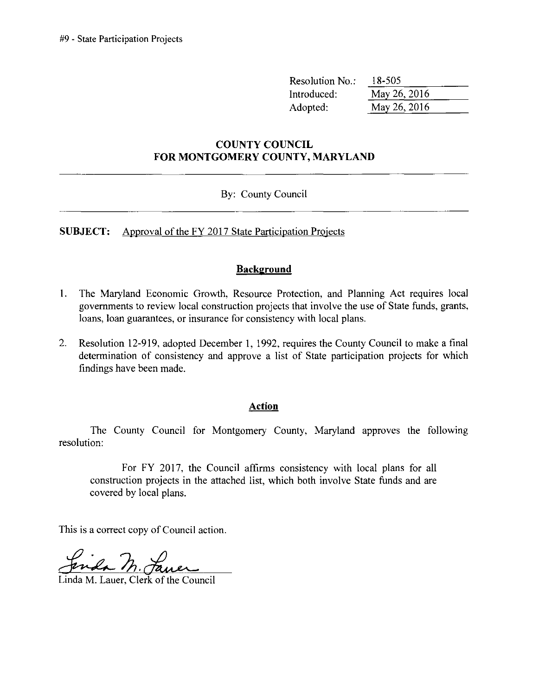| Resolution No.: | 18-505       |  |
|-----------------|--------------|--|
| Introduced:     | May 26, 2016 |  |
| Adopted:        | May 26, 2016 |  |

#### **COUNTY COUNCIL FOR MONTGOMERY COUNTY, MARYLAND**

#### By: County Council

**SUBJECT:** Approval of the FY 2017 State Participation Projects

#### **Background**

- 1. The Maryland Economic Growth, Resource Protection, and Planning Act requires local govermnents to review local construction projects that involve the use of State funds, grants, loans, loan guarantees, or insurance for consistency with local plans.
- 2. Resolution 12-919, adopted December 1,1992, requires the County Council to make a final determination of consistency and approve a list of State participation projects for which findings have been made.

#### **Action**

The County Council for Montgomery County, Maryland approves the following resolution:

For FY 2017, the Council affirms consistency with local plans for all construction projects in the attached list, which both involve State funds and are covered by local plans.

This is a correct copy of Council action.

Linda M. Lauer, Clerk of the Council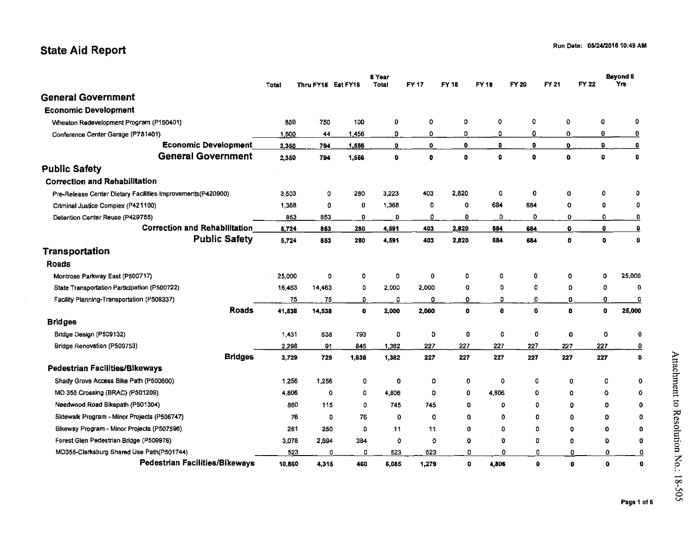### state Aid Report

|                                                             | 6 Year       |                    |              |              |              |              |              |             |              | Beyond 6     |                                      |
|-------------------------------------------------------------|--------------|--------------------|--------------|--------------|--------------|--------------|--------------|-------------|--------------|--------------|--------------------------------------|
|                                                             | <b>Total</b> | Thru FY15 Est FY16 |              | Total        | <b>FY17</b>  | FY 18        | FY 19        | FY 20       | FY 21        | FY 22        | Ym                                   |
| <b>General Government</b>                                   |              |                    |              |              |              |              |              |             |              |              |                                      |
| <b>Economic Development</b>                                 |              |                    |              |              |              |              |              |             |              |              |                                      |
| Wheaton Redevelopment Program (P150401)                     | 850          | 750                | 100          | 0            | 0            | 0            | 0            | 0           | 0            |              | ٠O<br>0                              |
| Conference Center Garage (P781401)                          | 1 500        | 44                 | 1.456        | ٥            | 0            | ٥            | 0.           | 0           | 0            |              | 0<br>0                               |
| <b>Economic Development</b>                                 | 2,350        | 794                | 1,556        | o            | 0            | o            | $\mathbf{0}$ | 0           | $\mathbf{0}$ |              | $\bullet$<br>$\overline{\mathbf{0}}$ |
| <b>General Government</b>                                   | 2,350        | 794                | 1,556        | $\mathbf{0}$ | $\bullet$    | $\mathbf{0}$ | $\bullet$    | û           | $\mathbf{0}$ |              | $\mathbf 0$<br>$\bullet$             |
| <b>Public Safety</b>                                        |              |                    |              |              |              |              |              |             |              |              |                                      |
| <b>Correction and Rehabilitation</b>                        |              |                    |              |              |              |              |              |             |              |              |                                      |
| Pre-Release Center Dietary Facilities Improvements(P420900) | 3.503        | 0                  | 280          | 3,223        | 403          | 2,820        | $\circ$      | 0           | $\mathbf 0$  |              | 0<br>0                               |
| Criminal Justice Complex (P421100)                          | 1 3 6 8      | 0                  | 0            | 1,368        | 0            | o            | 684          | 634         | 0            |              | 0<br>0                               |
| Detention Center Reuse (P429755)                            | 853          | 853                | O            | $\bf{0}$     | 0            | $\mathbf{0}$ | 0            | 0           | $\mathbf 0$  |              | 0<br>0                               |
| <b>Correction and Rehabilitation</b>                        | 5,724        | 853                | 280          | 4.591        | 403          | 2,820        | 684          | 684         | ۰            |              | $\mathbf 0$<br>0                     |
| <b>Public Safety</b>                                        | 5,724        | 853                | 280          | 4,591        | 403          | 2,820        | 684          | 684         | $\bullet$    |              | $\mathbf{0}$<br>0                    |
| Transportation                                              |              |                    |              |              |              |              |              |             |              |              |                                      |
| <b>Roads</b>                                                |              |                    |              |              |              |              |              |             |              |              |                                      |
| Montrose Parkway East (P500717)                             | 25,000       | 0                  | o            | o            | 0            | $\circ$      | 0            | 0           |              | 0            | 25,000<br>Ω                          |
| State Transportation Participation (P500722)                | 16,463       | 14,463             | 0            | 2.000        | 2,000        | 0            | 0            | 0           |              | $\mathbf 0$  | 0<br>$\mathbf 0$                     |
| Facility Planning-Transportation (P509337)                  | 75           | 75                 | D.           | 0            | 0            | ۰            | 0            | 0           |              | $\mathbf{0}$ | 0<br>0                               |
| <b>Roads</b>                                                | 41.538       | 14,538             | $\mathbf{o}$ | 2.000        | 2,000        | $\mathbf{0}$ | $\mathbf{0}$ | $\mathbf 0$ |              | $\bullet$    | 0<br>25,000                          |
| <b>Bridges</b>                                              |              |                    |              |              |              |              |              |             |              |              |                                      |
| Bridge Design (P509132)                                     | 1,431        | 638                | 793          | 0            | 0            | 0            | 0            | 0           |              | 0            | 0<br>0                               |
| Bridge Renovation (P509753)                                 | 2.298        | 91                 | 845          | 1.362        | 227          | 227          | 227          | 227         | 227          |              | 227<br>0                             |
| <b>Bridges</b>                                              | 3,729        | 729                | 1,638        | 1,362        | 227          | 227          | 227          | 227         | 227          |              | 227<br>$\bullet$                     |
| Pedestrian Facilities/Bikeways                              |              |                    |              |              |              |              |              |             |              |              |                                      |
| Shady Grove Access Bike Path (P500600)                      | 1,256        | 1,256              | 0            | 0            | 0            | 0            | 0            | 0           |              | 0            | O<br>0                               |
| MD 355 Crossing (BRAC) (P501209)                            | 4,806        | $\Omega$           | ٥            | 4,806        | 0            | 0            | 4,806        | o           |              | 0            | 0<br>0                               |
| Needwood Road Bikepath (P501304)                            | 860          | 115                | O.           | 745          | 745          | 0            | $\mathbf 0$  | $\Omega$    |              | $\Omega$     | $\mathbf 0$<br>0                     |
| Sidewalk Program - Minor Projects (P506747)                 | 76           | 0                  | 76           | 0            | $\circ$      | 0            | $\mathbf 0$  | $\mathbf 0$ |              | $\mathbf 0$  | 0<br>0                               |
| Bikeway Program - Minor Projects (P507596)                  | 261          | 250                | 0            | 11           | 11           | o            | 0            | 0           |              | o            | 0<br>0                               |
| Forest Glen Pedestrian Bridge (P509976)                     | 3.078        | 2,694              | 384          | 0            | $\mathbf{o}$ | 0            | 0            | $\Omega$    |              | $\mathbf 0$  | 0<br>0                               |
| MD355-Clarksburg Shared Use Path(P501744)                   | 523          | 0                  | o            | 523          | 523          | 0            | 0            | o           |              | 0            | 0<br>0                               |
| <b>Pedestrian Facilities/Bikeways</b>                       | 10.860       | 4,315              | 460          | 6.085        | 1,279        | $\mathbf{0}$ | 4,806        | $\bullet$   |              | $\mathbf{a}$ | o<br>$\mathbf 0$                     |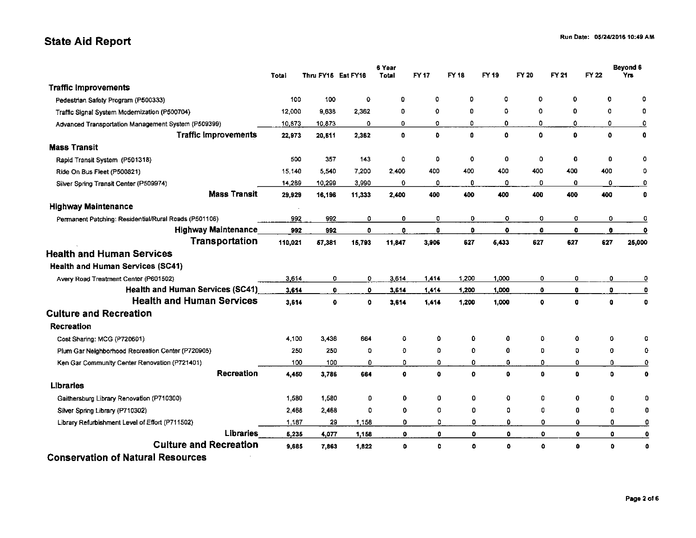### State Aid Report

|                                                       | 6 Year  |                    |              |              |              |              |              |              |              |              | Beyond 6                |
|-------------------------------------------------------|---------|--------------------|--------------|--------------|--------------|--------------|--------------|--------------|--------------|--------------|-------------------------|
|                                                       | Total   | Thru FY15 Est FY16 |              | Total        | FY 17        | FY 18        | FY 19        | FY 20        | FY 21        | FY 22        | Yrs                     |
| <b>Traffic Improvements</b>                           |         |                    |              |              |              |              |              |              |              |              |                         |
| Pedestrian Safety Program (P500333)                   | 100     | 100                | $\mathbf o$  | 0            | ٥            | ٥            | o            | 0            | 0            | 0            | ٥                       |
| Traffic Signal System Modernization (P500704)         | 12,000  | 9,638              | 2,362        | 0            | 0            | 0            | 0            | 0            | 0            | $\mathbf 0$  | 0                       |
| Advanced Transportation Management System (P509399)   | 10.873  | 10.873             | Ω            | 0            | 0            | Ď            | 0            | 0            | ٥            | 0            | $\overline{\mathbf{0}}$ |
| <b>Traffic Improvements</b>                           | 22,973  | 20,611             | 2,362        | 0            | $\mathbf{O}$ | $\mathbf{0}$ | $\mathbf{a}$ | 0            | $\mathbf{0}$ | $\mathbf{o}$ | $\mathbf 0$             |
| <b>Mass Transit</b>                                   |         |                    |              |              |              |              |              |              |              |              |                         |
| Rapid Transit System (P501318)                        | 500     | 357                | 143          | 0            | ٥            | $\mathbf 0$  | 0            | 0            | $\mathbf 0$  | $\mathbf 0$  |                         |
| Ride On Bus Fleet (P500821)                           | 15 140  | 5,540              | 7.200        | 2,400        | 400          | 400          | 400          | 400          | 400          | 400          | 0                       |
| Silver Spring Transit Center (P509974)                | 14,289  | 10,299             | 3.990        | 0            | 0            | 0            | 0            | O            | o            | 0            | 0                       |
| <b>Mass Transit</b>                                   | 29,929  | 16,196             | 11,333       | 2,400        | 400          | 400          | 400          | 400          | 400          | 400          | $\mathbf 0$             |
| <b>Highway Maintenance</b>                            |         |                    |              |              |              |              |              |              |              |              |                         |
| Permanent Patching: Residential/Rural Roads (P501106) | 992     | 992                | 0            | 0            | 0            | $\mathbf 0$  | 0            | 0            | 0            | 0            | 0                       |
| <b>Highway Maintenance</b>                            | 992     | 992                | $\mathbf{0}$ | 0            | 0            | $\mathbf 0$  | $\bullet$    | $\mathbf 0$  | $\mathbf 0$  | $\mathbf 0$  | $\bullet$               |
| Transportation                                        | 110,021 | 57,381             | 15.793       | 11,847       | 3,906        | 627          | 5,433        | 627          | 627          | 627          | 25,000                  |
| <b>Health and Human Services</b>                      |         |                    |              |              |              |              |              |              |              |              |                         |
| <b>Health and Human Services (SC41)</b>               |         |                    |              |              |              |              |              |              |              |              |                         |
| Avery Road Treatment Center (P601502)                 | 3,614   | O                  | 0            | 3.614        | 1,414        | 1.200        | 1,000        | 0            | 0            | 0            | 0                       |
| Health and Human Services (SC41)                      | 3.614   | $\bullet$          | $\mathbf{O}$ | 3,614        | 1,414        | 1,200        | 1,000        | $\bullet$    | $\bullet$    | ۰            | 0                       |
| <b>Health and Human Services</b>                      | 3,614   | $\mathbf 0$        | $\mathbf{0}$ | 3,614        | 1,414        | 1.200        | 1,000        | 0            | $\bullet$    | $\bullet$    | $\mathbf 0$             |
| <b>Culture and Recreation</b>                         |         |                    |              |              |              |              |              |              |              |              |                         |
| Recreation                                            |         |                    |              |              |              |              |              |              |              |              |                         |
| Cost Sharing: MCG (P720601)                           | 4,100   | 3,436              | 664          | ٥            | 0            | 0            | 0            | ٥            | 0            | 0            | Ω                       |
| Plum Gar Neighborhood Recreation Center (P720905)     | 250     | 250                | 0            | 0            | 0            | $\mathbf{o}$ | 0            | o            | 0            | 0            | 0                       |
| Ken Gar Community Center Renovation (P721401)         | 100     | 100                | 0            | 0            | 0.           | $\mathbf{O}$ | 0            | 0            | $\mathbf 0$  | 0            | $\overline{\mathbf{o}}$ |
| Recreation                                            | 4,450   | 3,786              | 664          | $\mathbf{0}$ | $\bullet$    | $\mathbf{0}$ | O            | $\mathbf{0}$ | $\bullet$    | 0            | 0                       |
| <b>Libraries</b>                                      |         |                    |              |              |              |              |              |              |              |              |                         |
| Gaithersburg Library Renovation (P710300)             | 1,580   | 1,580              | 0            | 0            | 0            | 0            | 0            | 0            | $\bf{0}$     | 0            | $\Omega$                |
| Silver Spring Library (P710302)                       | 2,468   | 2,468              | ٥            | 0            | 0            | 0            | 0            | 0            | 0            | 0            | 0                       |
| Library Refurbishment Level of Effort (P711502)       | 1,187   | 29                 | 1.158        | 0            | 0            | o            | 0            | 0            | $\mathbf o$  | 0            | $\overline{\mathbf{0}}$ |
| <b>Libraries</b>                                      | 5,235   | 4,077              | 1.158        | 0            | ٥            | $\mathbf{0}$ | 0            | $\mathbf 0$  | 0            | 0            | 0                       |
| <b>Culture and Recreation</b>                         | 9,685   | 7,863              | 1,822        | 0            | $\bullet$    | ٥            | ٥            | $\bullet$    | $\mathbf{0}$ | 0            | $\mathbf 0$             |
| <b>Conservation of Natural Resources</b>              |         |                    |              |              |              |              |              |              |              |              |                         |

Page 2 of 6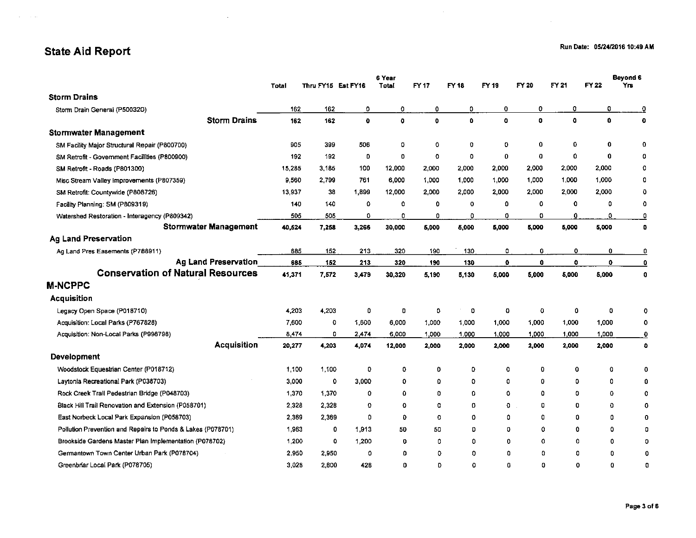$\sim$ 

### State Aid Report

 $\sim$ 

 $\sim 10^{11}$  and  $\sim 10^{11}$ 

|                                                             | 6 Year       |                    |              |        |             |             |           |              |           |              | Beyond 6                |  |
|-------------------------------------------------------------|--------------|--------------------|--------------|--------|-------------|-------------|-----------|--------------|-----------|--------------|-------------------------|--|
|                                                             | <b>Total</b> | Thru FY15 Est FY16 |              | Total  | FY 17       | FY 18       | FY 19     | FY 20        | FY 21     | FY 22        | Yπ                      |  |
| <b>Storm Drains</b>                                         |              |                    |              |        |             |             |           |              |           |              |                         |  |
| Storm Drain General (P500320)                               | 162          | 162                | o            | 0      | 0           | 0           | 0         | 0            | 0         | 0            | ≗                       |  |
| <b>Storm Drains</b>                                         | 162          | 162                | $\mathbf{o}$ | o      | o           | $\bullet$   | $\bullet$ | 0            | $\bullet$ | $\bullet$    | $\mathbf 0$             |  |
| <b>Stormwater Management</b>                                |              |                    |              |        |             |             |           |              |           |              |                         |  |
| SM Facility Major Structural Repair (P800700)               | 905          | 399                | 506          | 0      | 0           | 0           | 0         | 0            | 0         | 0            | 0                       |  |
| SM Retrofit - Government Facilities (P800900)               | 192          | 192                | D            | o      | 0           | $\circ$     | $\bf{0}$  | 0            | 0         | $\mathbf{0}$ | ٥                       |  |
| SM Retrofit - Roads (P801300)                               | 15,285       | 3.185              | 100          | 12,000 | 2,000       | 2,000       | 2,000     | 2,000        | 2,000     | 2,000        | 0                       |  |
| Misc Stream Valley Improvements (P807359)                   | 9,560        | 2,799              | 761          | 6.000  | 1,000       | 1,000       | 1.000     | 1,000        | 1,000     | 1.000        | o                       |  |
| SM Retrofit: Countywide (P808726)                           | 13.937       | 38                 | 1,899        | 12,000 | 2.000       | 2,000       | 2,000     | 2,000        | 2,000     | 2,000        | O                       |  |
| Facility Planning: SM (P809319)                             | 140          | 140                | 0            | 0      | 0           | o           | 0         | 0            | 0         | 0            | 0                       |  |
| Watershed Restoration - Interagency (P809342)               | 505          | 505                | 0            | 0      | 0           | $\Omega$    | 0         | 0            | 0         | 0            | 0                       |  |
| <b>Stormwater Management</b>                                | 40,524       | 7,258              | 3,266        | 30,000 | 5,000       | 5,000       | 5,000     | 5,000        | 5,000     | 5.000        | o                       |  |
| <b>Ag Land Preservation</b>                                 |              |                    |              |        |             |             |           |              |           |              |                         |  |
| Ag Land Pres Easements (P788911)                            | 685          | 152                | 213          | 320    | 190         | 130         | 0         | 0            | 0         | 0            | 0                       |  |
| <b>Ag Land Preservation</b>                                 | 685          | 152                | 213          | 320    | 190         | 130         | $\bullet$ | $\mathbf{0}$ | $\bullet$ | $\mathbf o$  | $\overline{\mathbf{0}}$ |  |
| <b>Conservation of Natural Resources</b>                    | 41,371       | 7,572              | 3,479        | 30,320 | 5,190       | 5,130       | 5,000     | 5,000        | 5,000     | 5,000        | $\mathbf 0$             |  |
| <b>M-NCPPC</b>                                              |              |                    |              |        |             |             |           |              |           |              |                         |  |
| Acquisition                                                 |              |                    |              |        |             |             |           |              |           |              |                         |  |
| Legacy Open Space (P018710)                                 | 4,203        | 4,203              | 0            | 0      | 0           | 0           | 0         | 0            | 0         | 0            | 0                       |  |
| Acquisition: Local Parks (P767828)                          | 7,600        | 0                  | 1,600        | 6,000  | 1,000       | 1,000       | 1,000     | 1,000        | 1,000     | 1,000        | 0                       |  |
| Acquisition: Non-Local Parks (P998798)                      | 8,474        | O                  | 2.474        | 6,000  | 1,000       | 1.000       | 1,000     | 1,000        | 1,000     | 1,000        | $\mathbf{0}$            |  |
| <b>Acquisition</b>                                          | 20,277       | 4,203              | 4.074        | 12,000 | 2,000       | 2,000       | 2,000     | 2,000        | 2,000     | 2,000        | $\bullet$               |  |
| <b>Development</b>                                          |              |                    |              |        |             |             |           |              |           |              |                         |  |
| Woodstock Equestrian Center (P018712)                       | 1,100        | 1,100              | 0            | ٥      | 0           | $\circ$     | 0         | o            | 0         | 0            | 0                       |  |
| Laytonia Recreational Park (P038703)                        | 3,000        | 0                  | 3.000        | 0      | o           | o           | 0         | 0            | 0         | 0            | 0                       |  |
| Rock Creek Trail Pedestrian Bridge (P048703)                | 1,370        | 1,370              | 0            | 0      | 0           | $\Omega$    | ٥         | $\Omega$     | 0         | 0            | ٥                       |  |
| Black Hill Trail Renovation and Extension (P058701)         | 2,328        | 2,328              | 0            | 0      | $\circ$     | $\mathbf 0$ | 0         | o            | O         | 0            | O                       |  |
| East Norbeck Local Park Expansion (P058703)                 | 2,369        | 2,369              | $\Omega$     | 0      | $\mathbf C$ | O           | 0         | o            | O         | ٥            | 0                       |  |
| Pollution Prevention and Repairs to Ponds & Lakes (P078701) | 1,963        | 0                  | 1.913        | 50     | 50          | D           | 0         | O            | 0         | 0            | 0                       |  |
| Brookside Gardens Master Plan Implementation (P078702)      | 1,200        | $\bullet$          | 1,200        | 0      | 0           | ٥           | O         | o            | $\Omega$  | O            | 0                       |  |
| Germantown Town Center Urban Park (P078704)                 | 2.950        | 2,950              | $\circ$      | 0      | ٥           | o           | 0         | $\Omega$     | $\Omega$  | 0            | 0                       |  |
| Greenbriar Local Park (P078705)                             | 3,028        | 2,600              | 428          | 0      | D           | 0           | 0         | $\Omega$     | $\Omega$  | $\Omega$     | n                       |  |

 $\sim 10^{-1}$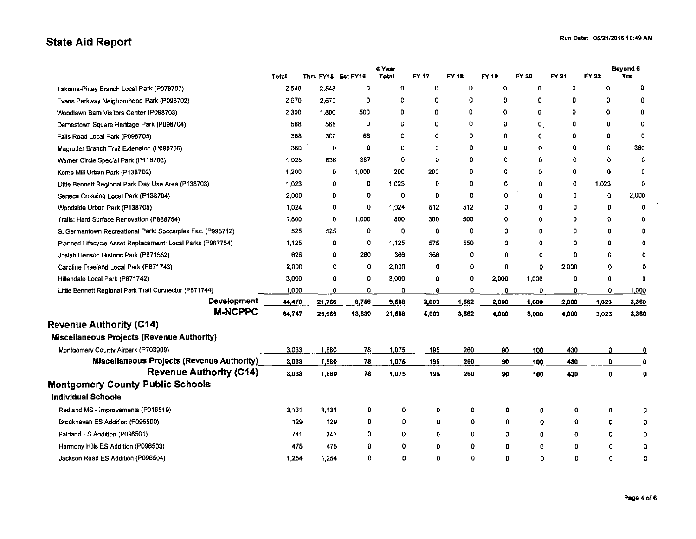## State Aid Report

 $\sim$ 

 $\sim 10^{-1}$ 

|                                                            |        |                    |              | 6 Year  | FY 17   | FY 18 |             | <b>FY 20</b> |             | FY 22        | Beyond 6<br>Yrs         |
|------------------------------------------------------------|--------|--------------------|--------------|---------|---------|-------|-------------|--------------|-------------|--------------|-------------------------|
|                                                            | Total  | Thru FY15 Est FY16 |              | Total   |         |       | FY 19       |              | FY 21<br>0  |              | 0                       |
| Takoma-Piney Branch Local Park (P078707)                   | 2,548  | 2,548              | 0            | Đ       | 0       | 0     | 0           | 0            |             | o            |                         |
| Evans Parkway Neighborhood Park (P098702)                  | 2,670  | 2670               | 0            | o       | 0       | 0     | 0           | 0            | 0           | 0            | 0                       |
| Woodlawn Barn Visitors Center (P098703)                    | 2,300  | 1,800              | 500          | D       | 0       | 0     | $\mathbf 0$ | 0            | 0           | 0            | $\bf{0}$                |
| Damestown Square Heritage Park (P098704)                   | 568    | 568                | 0            | ٥       | 0       | ٥     | 0           | 0            | ۵           | $\Omega$     | O                       |
| Falls Road Local Park (P098705)                            | 368    | 300                | 68           | O       | 0       | 0     | 0           | 0            | 0           | 0            | 0                       |
| Magruder Branch Trail Extension (P098706)                  | 360    | 0                  | 0            | 0       | 0       | 0     | 0           | 0            | ٥           | O            | 360                     |
| Warner Circle Special Park (P118703)                       | 1,025  | 638                | 387          | 0       | $\circ$ | ٥     | 0           | 0            | 0           | 0            | 0                       |
| Kemp Mill Urban Park (P138702)                             | 1,200  | 0                  | 1,000        | 200     | 200     | o     | 0           | 0            | 0           | $\mathbf o$  | 0                       |
| Little Bennett Regional Park Day Use Area (P138703)        | 1,023  | 0                  | $\mathbf 0$  | 1,023   | 0       | 0     | $\mathbf 0$ | 0            | 0           | 1,023        | 0                       |
| Seneca Crossing Local Park (P138704)                       | 2,000  | 0                  | 0            | $\circ$ | 0       | 0     | 0           | 0            | 0           | 0            | 2,000                   |
| Woodside Urban Park (P138705)                              | 1.024  | 0                  | $\bf{0}$     | 1,024   | 512     | 512   | 0           | 0            | 0           | 0            | 0                       |
| Trails: Hard Surface Renovation (P888754)                  | 1,800  | 0                  | 1,000        | 800     | 300     | 500   | 0           | ٥            | 0           | o            | 0                       |
| S. Germantown Recreational Park: Soccerplex Fac. (P998712) | 525    | 525                | $\mathbf{0}$ | 0       | 0       | 0     | ٥           | 0            | ۵           | 0            | 0                       |
| Planned Lifecycle Asset Replacement: Local Parks (P967754) | 1,125  | 0                  | 0            | 1,125   | 575     | 550   | ٥           | ٥            | 0           | ٥            | 0                       |
| Josiah Henson Historic Park (P871552)                      | 626    | 0                  | 260          | 366     | 366     | 0     | 0           | 0            | 0           | o            | 0                       |
| Caroline Freeland Local Park (P871743)                     | 2,000  | 0                  | 0            | 2,000   | 0       | 0     | 0           | 0            | 2,000       | 0            | 0                       |
| Hillandale Local Park (P871742)                            | 3,000  | 0                  | 0            | 3,000   | 0       | 0     | 2,000       | 1,000        | 0           | 0            | 0                       |
| Little Bennett Regional Park Trail Connector (P871744)     | 1,000  | 0                  | 0            | ٥       | 0       | 0     | 0           | 0            | 0           | 0            | 1,000                   |
| <b>Development</b>                                         | 44,470 | 21,766             | 9,756        | 9,588   | 2.003   | 1,562 | 2,000       | 1,000        | 2,000       | 1.023        | 3,360                   |
| <b>M-NCPPC</b>                                             | 64,747 | 25,969             | 13,830       | 21,588  | 4.003   | 3,562 | 4,000       | 3,000        | 4,000       | 3,023        | 3,360                   |
| <b>Revenue Authority (C14)</b>                             |        |                    |              |         |         |       |             |              |             |              |                         |
| <b>Miscellaneous Projects (Revenue Authority)</b>          |        |                    |              |         |         |       |             |              |             |              |                         |
| Montgomery County Airpark (P703909)                        | 3,033  | 1.880              | 78           | 1,075   | 195     | 260   | 90          | 100          | 430         | 0            | ≗                       |
| <b>Miscellaneous Projects (Revenue Authority)</b>          | 3,033  | 1,880              | 78           | 1,075   | 195     | 260   | 90          | 100          | 430         | o            | $\overline{\mathbf{0}}$ |
| <b>Revenue Authority (C14)</b>                             | 3,033  | 1,880              | 78           | 1,075   | 195     | 260   | 90          | 100          | 430         | $\mathbf{0}$ | 0                       |
| <b>Montgomery County Public Schools</b>                    |        |                    |              |         |         |       |             |              |             |              |                         |
| <b>Individual Schools</b>                                  |        |                    |              |         |         |       |             |              |             |              |                         |
| Redland MS - Improvements (P016519)                        | 3.131  | 3.131              | 0            | o       | 0       | ٥     | 0           | 0            | $\mathbf 0$ | 0            | n                       |
| Brookhaven ES Addition (P096500)                           | 129    | 129                | 0            | 0       | 0       | O     | 0           | 0            | 0           | 0            | ٥                       |
| Fairland ES Addition (P096501)                             | 741    | 741                | ٥            | 0       | 0       | 0     | 0           | 0            | 0           | 0            | 0                       |
| Harmony Hills ES Addition (P096503)                        | $+15$  | 475                | O            | 0       | 0       | 0     | Ω           | O            | 0           | 0            | 0                       |
| Jackson Road ES Addition (P096504)                         | 1,254  | 1.254              | 0            | Ω       | 0       | 0     | $\Omega$    | O            | $\Omega$    | 0            | 0                       |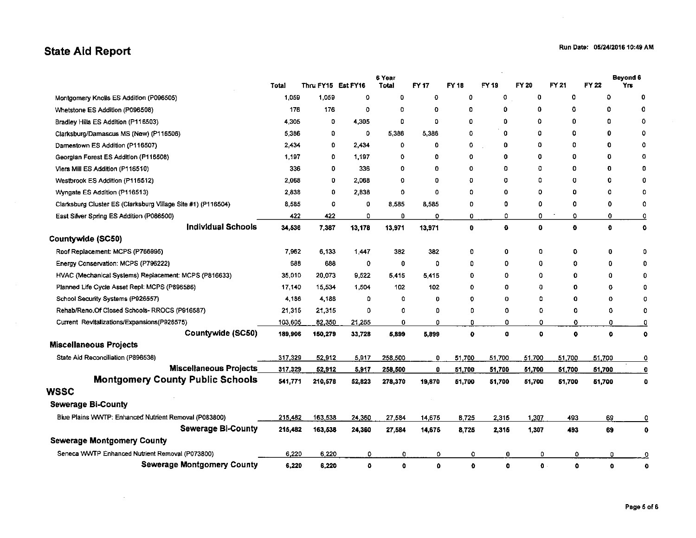### **State Aid Report**

 $\sim 10^6$ 

 $\sim$ 

|                                                              | Total   | Thru FY15 Est FY16 |        | 6 Year<br>Total | FY 17    | FY 18       | FY 19       | FY 20  | FY 21        | FY 22        | Beyond 6<br>Yrs         |
|--------------------------------------------------------------|---------|--------------------|--------|-----------------|----------|-------------|-------------|--------|--------------|--------------|-------------------------|
| Montgomery Knolls ES Addition (P096505)                      | 1,059   | 1,059              | ٥      | 0               | 0        | 0           | 0           | 0      | 0            | 0            | 0                       |
| Whetstone ES Addition (P096508)                              | 176     | 176                | Ω      | o               | Ω        | o           | 0           | 0      | 0            | o            | 0                       |
| Bradley Hills ES Addition (P116503)                          | 4.305   | 0                  | 4,305  | O               | 0        | 0           | 0           | O      | 0            | 0            | 0                       |
| Clarksburg/Damascus MS (New) (P116506)                       | 5386    | 0                  | 0      | 5386            | 5,386    | ٥           | 0           | O      | 0            | 0            | 0                       |
| Damestown ES Addition (P116507)                              | 2.434   | 0                  | 2.434  | 0               | 0        | 0           | 0           | 0      | $\Omega$     | O            | 0                       |
| Georgian Forest ES Addition (P116508)                        | 1,197   | 0                  | 1,197  | 0               | 0        | o           | $\bf{0}$    | 0      | 0            | o            | 0                       |
| Viers Mill ES Addition (P116510)                             | 336     | O                  | 336    | 0               | 0        | 0           | 0           | 0      | 0            | o            | 0                       |
| Westbrook ES Addition (P116512)                              | 2,068   | 0                  | 2,068  | 0               | 0        | 0           | 0           | ۵      | o            | 0            | 0                       |
| Wyngate ES Addition (P116513)                                | 2.838   | 0                  | 2.838  | 0               | o        | ٥           | 0           | 0      | o            | Ω            | 0                       |
| Clarksburg Cluster ES (Clarksburg Village Site #1) (P116504) | 8 5 8 5 | 0                  | 0      | 8,585           | 8,585    | 0           | 0           | 0      | 0            | 0            | 0                       |
| East Silver Spring ES Addition (P086500)                     | 422     | 422                | O      | Ũ.              | O        | 0           | 0           | 0      | 0            | 0            | <u>0</u>                |
| <b>Individual Schools</b>                                    | 34,536  | 7,387              | 13,178 | 13,971          | 13,971   | $\mathbf 0$ | $\mathbf 0$ | o      | $\mathbf{o}$ | $\Omega$     | $\mathbf 0$             |
| Countywide (SC50)                                            |         |                    |        |                 |          |             |             |        |              |              |                         |
| Roof Replacement: MCPS (P766995)                             | 7,962   | 6,133              | 1,447  | 382             | 382      | 0           | O           | ٥      | ٥            | 0            | ٥                       |
| Energy Conservation: MCPS (P796222)                          | 688     | 688                | 0      | 0               | 0        | D           | 0           | 0      | 0            | 0            | 0                       |
| HVAC (Mechanical Systems) Replacement: MCPS (P816633)        | 35,010  | 20,073             | 9,522  | 5,415           | 5,415    | 0           | ٥           | 0      | o            | 0            | 0                       |
| Planned Life Cycle Asset Repl. MCPS (P896586)                | 17,140  | 15,534             | 1.504  | 102             | 102      | 0           | ٥           | 0      | 0            | 0            | 0                       |
| School Security Systems (P926557)                            | 4,186   | 4,186              | 0      | ٥               | 0        | ٥           | Ω           | ۵      | o            | 0            | ٥                       |
| Rehab/Reno.Of Closed Schools-RROCS (P916587)                 | 21,315  | 21,315             | 0      | 0               | o        | D           | 0           | 0      | O            | 0            | 0                       |
| Current Revitalizations/Expansions(P926575)                  | 103,605 | 82,350             | 21,255 | 0               | 0        | o           | 0           | 0      | ٥            | 0            | Q                       |
| Countywide (SC50)                                            | 189,906 | 150,279            | 33,728 | 5,899           | 5,899    | $\mathbf 0$ | o           | o      | $\bullet$    | $\mathbf{0}$ | $\mathbf 0$             |
| <b>Miscellaneous Projects</b>                                |         |                    |        |                 |          |             |             |        |              |              |                         |
| State Aid Reconciliation (P896536)                           | 317,329 | 52,912             | 5,917  | 258,500         | 0        | 51,700      | 51,700      | 51,700 | 51,700       | 51.700       | $\overline{\mathbf{0}}$ |
| <b>Miscellaneous Projects</b>                                | 317,329 | 52,912             | 5,917  | 258,500         | 0        | 51,700      | 51,700      | 51,700 | 51,700       | 51,700       | 0                       |
| <b>Montgomery County Public Schools</b>                      | 541,771 | 210,578            | 52,823 | 278,370         | 19,870   | 51,700      | 51,700      | 51,700 | 51,700       | 51,700       | o                       |
| WSSC                                                         |         |                    |        |                 |          |             |             |        |              |              |                         |
| <b>Sewerage Bi-County</b>                                    |         |                    |        |                 |          |             |             |        |              |              |                         |
| Blue Plains WWTP: Enhanced Nutrient Removal (P083800)        | 215,482 | 163,538            | 24,360 | 27 584          | 14,675   | 8.725       | 2,315       | 1,307  | 493          | 69           | 0                       |
| <b>Sewerage Bi-County</b>                                    | 215,482 | 163,538            | 24,360 | 27,584          | 14,675   | 8,725       | 2,315       | 1,307  | 493          | 69           | 0                       |
| <b>Sewerage Montgomery County</b>                            |         |                    |        |                 |          |             |             |        |              |              |                         |
| Seneca WWTP Enhanced Nutrient Removal (P073800)              | 6,220   | 6,220              | ٥      | 0               | 0        | 0           | 0           | 0      | 0            | 0            | $\overline{0}$          |
| <b>Sewerage Montgomery County</b>                            | 6,220   | 6,220              | o      | $\mathbf 0$     | $\Omega$ | $\mathbf o$ | o           | o      | Ō            | $\mathbf 0$  | $\mathbf 0$             |